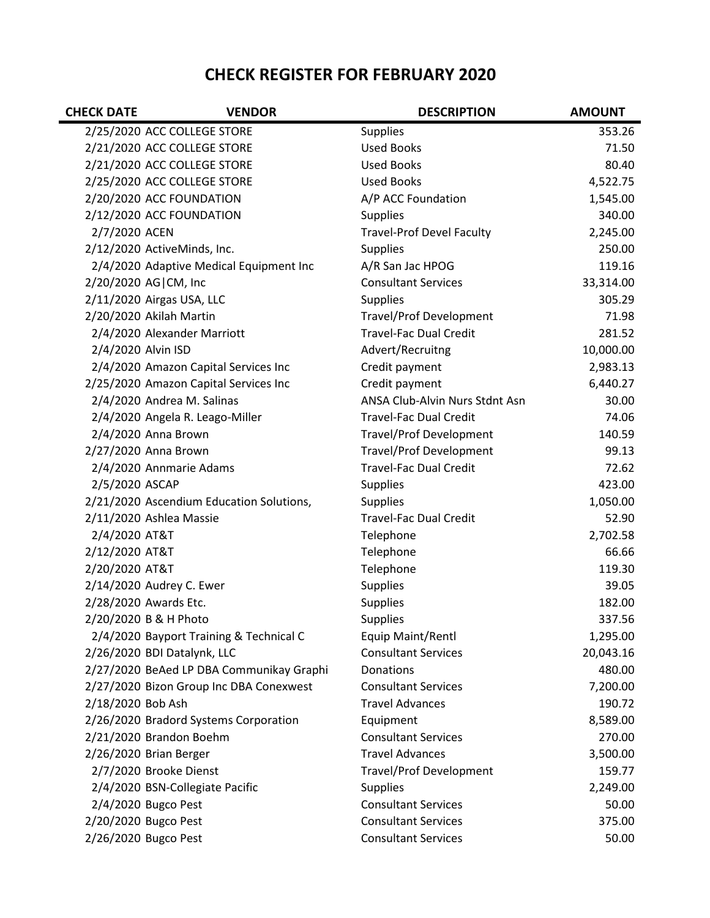## **CHECK REGISTER FOR FEBRUARY 2020**

| <b>CHECK DATE</b>  | <b>VENDOR</b>                            | <b>DESCRIPTION</b>               | <b>AMOUNT</b> |
|--------------------|------------------------------------------|----------------------------------|---------------|
|                    | 2/25/2020 ACC COLLEGE STORE              | <b>Supplies</b>                  | 353.26        |
|                    | 2/21/2020 ACC COLLEGE STORE              | <b>Used Books</b>                | 71.50         |
|                    | 2/21/2020 ACC COLLEGE STORE              | <b>Used Books</b>                | 80.40         |
|                    | 2/25/2020 ACC COLLEGE STORE              | <b>Used Books</b>                | 4,522.75      |
|                    | 2/20/2020 ACC FOUNDATION                 | A/P ACC Foundation               | 1,545.00      |
|                    | 2/12/2020 ACC FOUNDATION                 | <b>Supplies</b>                  | 340.00        |
| 2/7/2020 ACEN      |                                          | <b>Travel-Prof Devel Faculty</b> | 2,245.00      |
|                    | 2/12/2020 ActiveMinds, Inc.              | <b>Supplies</b>                  | 250.00        |
|                    | 2/4/2020 Adaptive Medical Equipment Inc  | A/R San Jac HPOG                 | 119.16        |
|                    | 2/20/2020 AG CM, Inc                     | <b>Consultant Services</b>       | 33,314.00     |
|                    | 2/11/2020 Airgas USA, LLC                | <b>Supplies</b>                  | 305.29        |
|                    | 2/20/2020 Akilah Martin                  | <b>Travel/Prof Development</b>   | 71.98         |
|                    | 2/4/2020 Alexander Marriott              | <b>Travel-Fac Dual Credit</b>    | 281.52        |
| 2/4/2020 Alvin ISD |                                          | Advert/Recruitng                 | 10,000.00     |
|                    | 2/4/2020 Amazon Capital Services Inc     | Credit payment                   | 2,983.13      |
|                    | 2/25/2020 Amazon Capital Services Inc    | Credit payment                   | 6,440.27      |
|                    | 2/4/2020 Andrea M. Salinas               | ANSA Club-Alvin Nurs Stdnt Asn   | 30.00         |
|                    | 2/4/2020 Angela R. Leago-Miller          | <b>Travel-Fac Dual Credit</b>    | 74.06         |
|                    | 2/4/2020 Anna Brown                      | <b>Travel/Prof Development</b>   | 140.59        |
|                    | 2/27/2020 Anna Brown                     | <b>Travel/Prof Development</b>   | 99.13         |
|                    | 2/4/2020 Annmarie Adams                  | <b>Travel-Fac Dual Credit</b>    | 72.62         |
| 2/5/2020 ASCAP     |                                          | <b>Supplies</b>                  | 423.00        |
|                    | 2/21/2020 Ascendium Education Solutions, | <b>Supplies</b>                  | 1,050.00      |
|                    | 2/11/2020 Ashlea Massie                  | <b>Travel-Fac Dual Credit</b>    | 52.90         |
| 2/4/2020 AT&T      |                                          | Telephone                        | 2,702.58      |
| 2/12/2020 AT&T     |                                          | Telephone                        | 66.66         |
| 2/20/2020 AT&T     |                                          | Telephone                        | 119.30        |
|                    | 2/14/2020 Audrey C. Ewer                 | <b>Supplies</b>                  | 39.05         |
|                    | 2/28/2020 Awards Etc.                    | <b>Supplies</b>                  | 182.00        |
|                    | 2/20/2020 B & H Photo                    | <b>Supplies</b>                  | 337.56        |
|                    | 2/4/2020 Bayport Training & Technical C  | Equip Maint/Rentl                | 1,295.00      |
|                    | 2/26/2020 BDI Datalynk, LLC              | <b>Consultant Services</b>       | 20,043.16     |
|                    | 2/27/2020 BeAed LP DBA Communikay Graphi | Donations                        | 480.00        |
|                    | 2/27/2020 Bizon Group Inc DBA Conexwest  | <b>Consultant Services</b>       | 7,200.00      |
| 2/18/2020 Bob Ash  |                                          | <b>Travel Advances</b>           | 190.72        |
|                    | 2/26/2020 Bradord Systems Corporation    | Equipment                        | 8,589.00      |
|                    | 2/21/2020 Brandon Boehm                  | <b>Consultant Services</b>       | 270.00        |
|                    | 2/26/2020 Brian Berger                   | <b>Travel Advances</b>           | 3,500.00      |
|                    | 2/7/2020 Brooke Dienst                   | <b>Travel/Prof Development</b>   | 159.77        |
|                    | 2/4/2020 BSN-Collegiate Pacific          | <b>Supplies</b>                  | 2,249.00      |
|                    | 2/4/2020 Bugco Pest                      | <b>Consultant Services</b>       | 50.00         |
|                    | 2/20/2020 Bugco Pest                     | <b>Consultant Services</b>       | 375.00        |
|                    | 2/26/2020 Bugco Pest                     | <b>Consultant Services</b>       | 50.00         |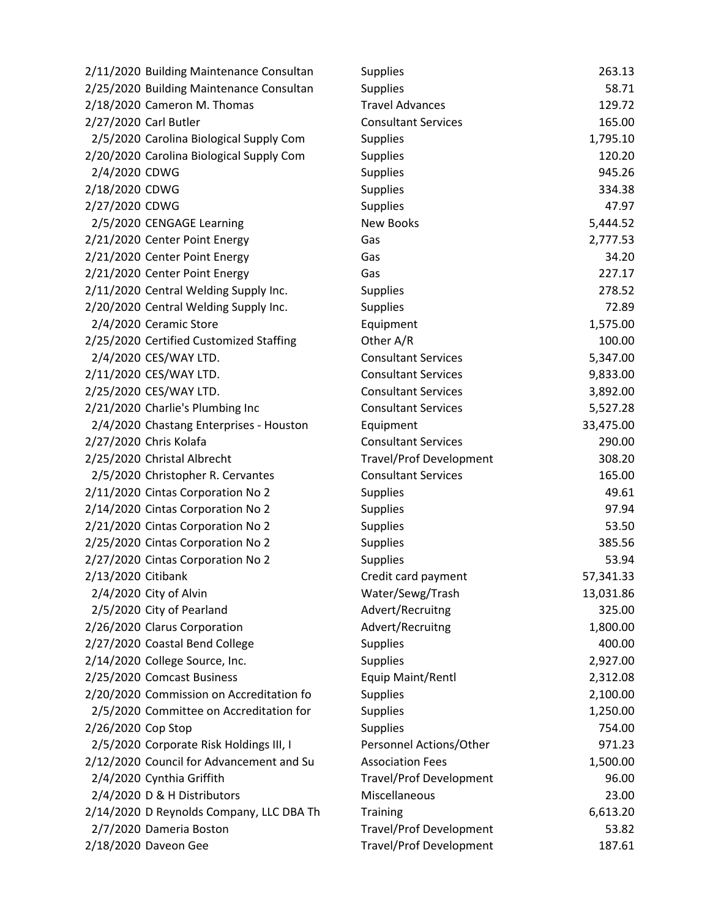| 2/11/2020 Building Maintenance Consultan | <b>Supplies</b>                | 263.13    |
|------------------------------------------|--------------------------------|-----------|
| 2/25/2020 Building Maintenance Consultan | <b>Supplies</b>                | 58.71     |
| 2/18/2020 Cameron M. Thomas              | <b>Travel Advances</b>         | 129.72    |
| 2/27/2020 Carl Butler                    | <b>Consultant Services</b>     | 165.00    |
| 2/5/2020 Carolina Biological Supply Com  | <b>Supplies</b>                | 1,795.10  |
| 2/20/2020 Carolina Biological Supply Com | Supplies                       | 120.20    |
| 2/4/2020 CDWG                            | Supplies                       | 945.26    |
| 2/18/2020 CDWG                           | Supplies                       | 334.38    |
| 2/27/2020 CDWG                           | Supplies                       | 47.97     |
| 2/5/2020 CENGAGE Learning                | <b>New Books</b>               | 5,444.52  |
| 2/21/2020 Center Point Energy            | Gas                            | 2,777.53  |
| 2/21/2020 Center Point Energy            | Gas                            | 34.20     |
| 2/21/2020 Center Point Energy            | Gas                            | 227.17    |
| 2/11/2020 Central Welding Supply Inc.    | Supplies                       | 278.52    |
| 2/20/2020 Central Welding Supply Inc.    | <b>Supplies</b>                | 72.89     |
| 2/4/2020 Ceramic Store                   | Equipment                      | 1,575.00  |
| 2/25/2020 Certified Customized Staffing  | Other A/R                      | 100.00    |
| 2/4/2020 CES/WAY LTD.                    | <b>Consultant Services</b>     | 5,347.00  |
| 2/11/2020 CES/WAY LTD.                   | <b>Consultant Services</b>     | 9,833.00  |
| 2/25/2020 CES/WAY LTD.                   | <b>Consultant Services</b>     | 3,892.00  |
| 2/21/2020 Charlie's Plumbing Inc         | <b>Consultant Services</b>     | 5,527.28  |
| 2/4/2020 Chastang Enterprises - Houston  | Equipment                      | 33,475.00 |
| 2/27/2020 Chris Kolafa                   | <b>Consultant Services</b>     | 290.00    |
| 2/25/2020 Christal Albrecht              | <b>Travel/Prof Development</b> | 308.20    |
| 2/5/2020 Christopher R. Cervantes        | <b>Consultant Services</b>     | 165.00    |
| 2/11/2020 Cintas Corporation No 2        | Supplies                       | 49.61     |
| 2/14/2020 Cintas Corporation No 2        | Supplies                       | 97.94     |
| 2/21/2020 Cintas Corporation No 2        | Supplies                       | 53.50     |
| 2/25/2020 Cintas Corporation No 2        | Supplies                       | 385.56    |
| 2/27/2020 Cintas Corporation No 2        | Supplies                       | 53.94     |
| 2/13/2020 Citibank                       | Credit card payment            | 57,341.33 |
| 2/4/2020 City of Alvin                   | Water/Sewg/Trash               | 13,031.86 |
| 2/5/2020 City of Pearland                | Advert/Recruitng               | 325.00    |
| 2/26/2020 Clarus Corporation             | Advert/Recruitng               | 1,800.00  |
| 2/27/2020 Coastal Bend College           | Supplies                       | 400.00    |
| 2/14/2020 College Source, Inc.           | <b>Supplies</b>                | 2,927.00  |
| 2/25/2020 Comcast Business               | Equip Maint/Rentl              | 2,312.08  |
| 2/20/2020 Commission on Accreditation fo | Supplies                       | 2,100.00  |
| 2/5/2020 Committee on Accreditation for  | Supplies                       | 1,250.00  |
| 2/26/2020 Cop Stop                       | <b>Supplies</b>                | 754.00    |
| 2/5/2020 Corporate Risk Holdings III, I  | Personnel Actions/Other        | 971.23    |
| 2/12/2020 Council for Advancement and Su | <b>Association Fees</b>        | 1,500.00  |
| 2/4/2020 Cynthia Griffith                | <b>Travel/Prof Development</b> | 96.00     |
| 2/4/2020 D & H Distributors              | Miscellaneous                  | 23.00     |
| 2/14/2020 D Reynolds Company, LLC DBA Th | Training                       | 6,613.20  |
| 2/7/2020 Dameria Boston                  | <b>Travel/Prof Development</b> | 53.82     |
| 2/18/2020 Daveon Gee                     | <b>Travel/Prof Development</b> | 187.61    |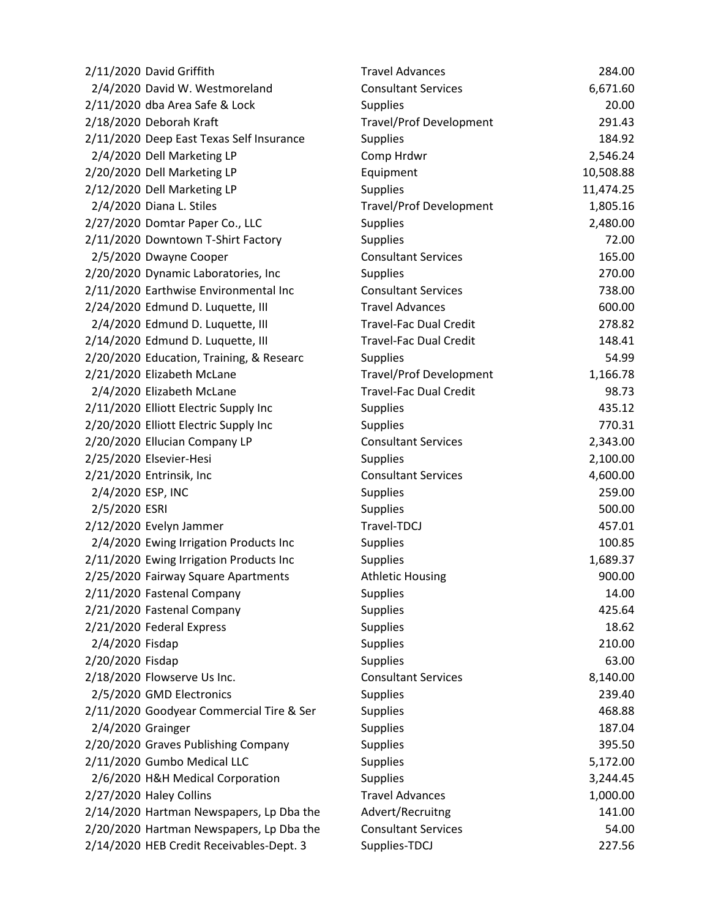| 2/11/2020 David Griffith                 | <b>Travel Advances</b>         | 284.00    |
|------------------------------------------|--------------------------------|-----------|
| 2/4/2020 David W. Westmoreland           | <b>Consultant Services</b>     | 6,671.60  |
| 2/11/2020 dba Area Safe & Lock           | <b>Supplies</b>                | 20.00     |
| 2/18/2020 Deborah Kraft                  | <b>Travel/Prof Development</b> | 291.43    |
| 2/11/2020 Deep East Texas Self Insurance | <b>Supplies</b>                | 184.92    |
| 2/4/2020 Dell Marketing LP               | Comp Hrdwr                     | 2,546.24  |
| 2/20/2020 Dell Marketing LP              | Equipment                      | 10,508.88 |
| 2/12/2020 Dell Marketing LP              | <b>Supplies</b>                | 11,474.25 |
| 2/4/2020 Diana L. Stiles                 | <b>Travel/Prof Development</b> | 1,805.16  |
| 2/27/2020 Domtar Paper Co., LLC          | <b>Supplies</b>                | 2,480.00  |
| 2/11/2020 Downtown T-Shirt Factory       | <b>Supplies</b>                | 72.00     |
| 2/5/2020 Dwayne Cooper                   | <b>Consultant Services</b>     | 165.00    |
| 2/20/2020 Dynamic Laboratories, Inc      | Supplies                       | 270.00    |
| 2/11/2020 Earthwise Environmental Inc    | <b>Consultant Services</b>     | 738.00    |
| 2/24/2020 Edmund D. Luquette, III        | <b>Travel Advances</b>         | 600.00    |
| 2/4/2020 Edmund D. Luquette, III         | <b>Travel-Fac Dual Credit</b>  | 278.82    |
| 2/14/2020 Edmund D. Luquette, III        | <b>Travel-Fac Dual Credit</b>  | 148.41    |
| 2/20/2020 Education, Training, & Researc | <b>Supplies</b>                | 54.99     |
| 2/21/2020 Elizabeth McLane               | <b>Travel/Prof Development</b> | 1,166.78  |
| 2/4/2020 Elizabeth McLane                | <b>Travel-Fac Dual Credit</b>  | 98.73     |
| 2/11/2020 Elliott Electric Supply Inc    | <b>Supplies</b>                | 435.12    |
| 2/20/2020 Elliott Electric Supply Inc    | <b>Supplies</b>                | 770.31    |
| 2/20/2020 Ellucian Company LP            | <b>Consultant Services</b>     | 2,343.00  |
| 2/25/2020 Elsevier-Hesi                  | <b>Supplies</b>                | 2,100.00  |
| 2/21/2020 Entrinsik, Inc                 | <b>Consultant Services</b>     | 4,600.00  |
| 2/4/2020 ESP, INC                        | <b>Supplies</b>                | 259.00    |
| 2/5/2020 ESRI                            | <b>Supplies</b>                | 500.00    |
| 2/12/2020 Evelyn Jammer                  | Travel-TDCJ                    | 457.01    |
| 2/4/2020 Ewing Irrigation Products Inc   | <b>Supplies</b>                | 100.85    |
| 2/11/2020 Ewing Irrigation Products Inc  | Supplies                       | 1,689.37  |
| 2/25/2020 Fairway Square Apartments      | <b>Athletic Housing</b>        | 900.00    |
| 2/11/2020 Fastenal Company               | <b>Supplies</b>                | 14.00     |
| 2/21/2020 Fastenal Company               | <b>Supplies</b>                | 425.64    |
| 2/21/2020 Federal Express                | Supplies                       | 18.62     |
| 2/4/2020 Fisdap                          | Supplies                       | 210.00    |
| 2/20/2020 Fisdap                         | <b>Supplies</b>                | 63.00     |
| 2/18/2020 Flowserve Us Inc.              | <b>Consultant Services</b>     | 8,140.00  |
| 2/5/2020 GMD Electronics                 | <b>Supplies</b>                | 239.40    |
| 2/11/2020 Goodyear Commercial Tire & Ser | <b>Supplies</b>                | 468.88    |
| 2/4/2020 Grainger                        | <b>Supplies</b>                | 187.04    |
| 2/20/2020 Graves Publishing Company      | <b>Supplies</b>                | 395.50    |
| 2/11/2020 Gumbo Medical LLC              | Supplies                       | 5,172.00  |
| 2/6/2020 H&H Medical Corporation         | Supplies                       | 3,244.45  |
| 2/27/2020 Haley Collins                  | <b>Travel Advances</b>         | 1,000.00  |
| 2/14/2020 Hartman Newspapers, Lp Dba the | Advert/Recruitng               | 141.00    |
| 2/20/2020 Hartman Newspapers, Lp Dba the | <b>Consultant Services</b>     | 54.00     |
| 2/14/2020 HEB Credit Receivables-Dept. 3 | Supplies-TDCJ                  | 227.56    |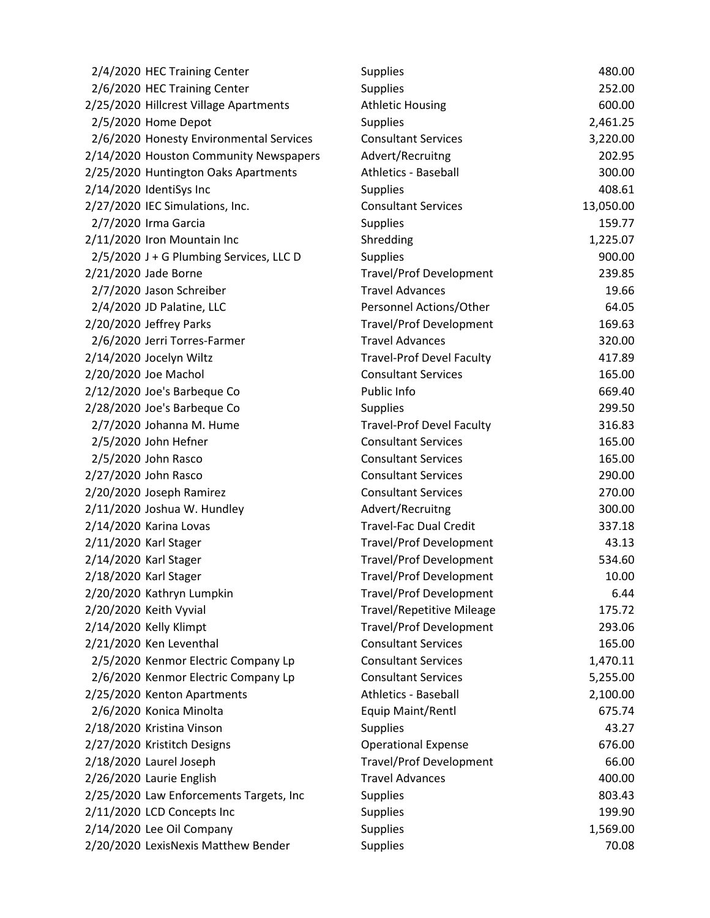| 2/4/2020 HEC Training Center            | <b>Supplies</b>                  | 480.00    |
|-----------------------------------------|----------------------------------|-----------|
| 2/6/2020 HEC Training Center            | <b>Supplies</b>                  | 252.00    |
| 2/25/2020 Hillcrest Village Apartments  | <b>Athletic Housing</b>          | 600.00    |
| 2/5/2020 Home Depot                     | <b>Supplies</b>                  | 2,461.25  |
| 2/6/2020 Honesty Environmental Services | <b>Consultant Services</b>       | 3,220.00  |
| 2/14/2020 Houston Community Newspapers  | Advert/Recruitng                 | 202.95    |
| 2/25/2020 Huntington Oaks Apartments    | <b>Athletics - Baseball</b>      | 300.00    |
| 2/14/2020 IdentiSys Inc                 | <b>Supplies</b>                  | 408.61    |
| 2/27/2020 IEC Simulations, Inc.         | <b>Consultant Services</b>       | 13,050.00 |
| 2/7/2020 Irma Garcia                    | <b>Supplies</b>                  | 159.77    |
| 2/11/2020 Iron Mountain Inc             | Shredding                        | 1,225.07  |
| 2/5/2020 J + G Plumbing Services, LLC D | <b>Supplies</b>                  | 900.00    |
| 2/21/2020 Jade Borne                    | <b>Travel/Prof Development</b>   | 239.85    |
| 2/7/2020 Jason Schreiber                | <b>Travel Advances</b>           | 19.66     |
| 2/4/2020 JD Palatine, LLC               | Personnel Actions/Other          | 64.05     |
| 2/20/2020 Jeffrey Parks                 | <b>Travel/Prof Development</b>   | 169.63    |
| 2/6/2020 Jerri Torres-Farmer            | <b>Travel Advances</b>           | 320.00    |
| 2/14/2020 Jocelyn Wiltz                 | <b>Travel-Prof Devel Faculty</b> | 417.89    |
| 2/20/2020 Joe Machol                    | <b>Consultant Services</b>       | 165.00    |
| 2/12/2020 Joe's Barbeque Co             | Public Info                      | 669.40    |
| 2/28/2020 Joe's Barbeque Co             | <b>Supplies</b>                  | 299.50    |
| 2/7/2020 Johanna M. Hume                | <b>Travel-Prof Devel Faculty</b> | 316.83    |
| 2/5/2020 John Hefner                    | <b>Consultant Services</b>       | 165.00    |
| 2/5/2020 John Rasco                     | <b>Consultant Services</b>       | 165.00    |
| 2/27/2020 John Rasco                    | <b>Consultant Services</b>       | 290.00    |
| 2/20/2020 Joseph Ramirez                | <b>Consultant Services</b>       | 270.00    |
| 2/11/2020 Joshua W. Hundley             | Advert/Recruitng                 | 300.00    |
| 2/14/2020 Karina Lovas                  | <b>Travel-Fac Dual Credit</b>    | 337.18    |
| 2/11/2020 Karl Stager                   | <b>Travel/Prof Development</b>   | 43.13     |
| 2/14/2020 Karl Stager                   | <b>Travel/Prof Development</b>   | 534.60    |
| 2/18/2020 Karl Stager                   | <b>Travel/Prof Development</b>   | 10.00     |
| 2/20/2020 Kathryn Lumpkin               | <b>Travel/Prof Development</b>   | 6.44      |
| 2/20/2020 Keith Vyvial                  | <b>Travel/Repetitive Mileage</b> | 175.72    |
| 2/14/2020 Kelly Klimpt                  | <b>Travel/Prof Development</b>   | 293.06    |
| 2/21/2020 Ken Leventhal                 | <b>Consultant Services</b>       | 165.00    |
| 2/5/2020 Kenmor Electric Company Lp     | <b>Consultant Services</b>       | 1,470.11  |
| 2/6/2020 Kenmor Electric Company Lp     | <b>Consultant Services</b>       | 5,255.00  |
| 2/25/2020 Kenton Apartments             | <b>Athletics - Baseball</b>      | 2,100.00  |
| 2/6/2020 Konica Minolta                 | Equip Maint/Rentl                | 675.74    |
| 2/18/2020 Kristina Vinson               | <b>Supplies</b>                  | 43.27     |
| 2/27/2020 Kristitch Designs             | <b>Operational Expense</b>       | 676.00    |
| 2/18/2020 Laurel Joseph                 | <b>Travel/Prof Development</b>   | 66.00     |
| 2/26/2020 Laurie English                | <b>Travel Advances</b>           | 400.00    |
| 2/25/2020 Law Enforcements Targets, Inc | <b>Supplies</b>                  | 803.43    |
| 2/11/2020 LCD Concepts Inc              | <b>Supplies</b>                  | 199.90    |
| 2/14/2020 Lee Oil Company               | <b>Supplies</b>                  | 1,569.00  |
| 2/20/2020 LexisNexis Matthew Bender     | <b>Supplies</b>                  | 70.08     |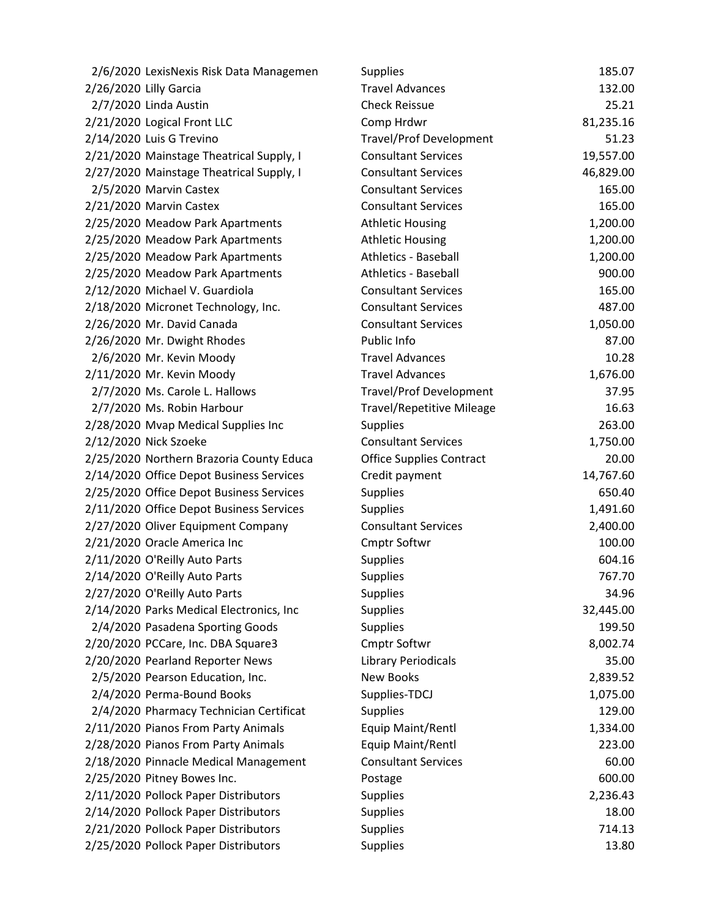| 2/6/2020 LexisNexis Risk Data Managemen  | <b>Supplies</b>                  | 185.07    |
|------------------------------------------|----------------------------------|-----------|
| 2/26/2020 Lilly Garcia                   | <b>Travel Advances</b>           | 132.00    |
| 2/7/2020 Linda Austin                    | <b>Check Reissue</b>             | 25.21     |
| 2/21/2020 Logical Front LLC              | Comp Hrdwr                       | 81,235.16 |
| 2/14/2020 Luis G Trevino                 | <b>Travel/Prof Development</b>   | 51.23     |
| 2/21/2020 Mainstage Theatrical Supply, I | <b>Consultant Services</b>       | 19,557.00 |
| 2/27/2020 Mainstage Theatrical Supply, I | <b>Consultant Services</b>       | 46,829.00 |
| 2/5/2020 Marvin Castex                   | <b>Consultant Services</b>       | 165.00    |
| 2/21/2020 Marvin Castex                  | <b>Consultant Services</b>       | 165.00    |
| 2/25/2020 Meadow Park Apartments         | <b>Athletic Housing</b>          | 1,200.00  |
| 2/25/2020 Meadow Park Apartments         | <b>Athletic Housing</b>          | 1,200.00  |
| 2/25/2020 Meadow Park Apartments         | <b>Athletics - Baseball</b>      | 1,200.00  |
| 2/25/2020 Meadow Park Apartments         | <b>Athletics - Baseball</b>      | 900.00    |
| 2/12/2020 Michael V. Guardiola           | <b>Consultant Services</b>       | 165.00    |
| 2/18/2020 Micronet Technology, Inc.      | <b>Consultant Services</b>       | 487.00    |
| 2/26/2020 Mr. David Canada               | <b>Consultant Services</b>       | 1,050.00  |
| 2/26/2020 Mr. Dwight Rhodes              | Public Info                      | 87.00     |
| 2/6/2020 Mr. Kevin Moody                 | <b>Travel Advances</b>           | 10.28     |
| 2/11/2020 Mr. Kevin Moody                | <b>Travel Advances</b>           | 1,676.00  |
| 2/7/2020 Ms. Carole L. Hallows           | <b>Travel/Prof Development</b>   | 37.95     |
| 2/7/2020 Ms. Robin Harbour               | <b>Travel/Repetitive Mileage</b> | 16.63     |
| 2/28/2020 Mvap Medical Supplies Inc      | <b>Supplies</b>                  | 263.00    |
| 2/12/2020 Nick Szoeke                    | <b>Consultant Services</b>       | 1,750.00  |
| 2/25/2020 Northern Brazoria County Educa | <b>Office Supplies Contract</b>  | 20.00     |
| 2/14/2020 Office Depot Business Services | Credit payment                   | 14,767.60 |
| 2/25/2020 Office Depot Business Services | Supplies                         | 650.40    |
| 2/11/2020 Office Depot Business Services | <b>Supplies</b>                  | 1,491.60  |
| 2/27/2020 Oliver Equipment Company       | <b>Consultant Services</b>       | 2,400.00  |
| 2/21/2020 Oracle America Inc             | <b>Cmptr Softwr</b>              | 100.00    |
| 2/11/2020 O'Reilly Auto Parts            | <b>Supplies</b>                  | 604.16    |
| 2/14/2020 O'Reilly Auto Parts            | <b>Supplies</b>                  | 767.70    |
| 2/27/2020 O'Reilly Auto Parts            | <b>Supplies</b>                  | 34.96     |
| 2/14/2020 Parks Medical Electronics, Inc | <b>Supplies</b>                  | 32,445.00 |
| 2/4/2020 Pasadena Sporting Goods         | Supplies                         | 199.50    |
| 2/20/2020 PCCare, Inc. DBA Square3       | <b>Cmptr Softwr</b>              | 8,002.74  |
| 2/20/2020 Pearland Reporter News         | <b>Library Periodicals</b>       | 35.00     |
| 2/5/2020 Pearson Education, Inc.         | <b>New Books</b>                 | 2,839.52  |
| 2/4/2020 Perma-Bound Books               | Supplies-TDCJ                    | 1,075.00  |
| 2/4/2020 Pharmacy Technician Certificat  | <b>Supplies</b>                  | 129.00    |
| 2/11/2020 Pianos From Party Animals      | Equip Maint/Rentl                | 1,334.00  |
| 2/28/2020 Pianos From Party Animals      | Equip Maint/Rentl                | 223.00    |
| 2/18/2020 Pinnacle Medical Management    | <b>Consultant Services</b>       | 60.00     |
| 2/25/2020 Pitney Bowes Inc.              | Postage                          | 600.00    |
| 2/11/2020 Pollock Paper Distributors     | <b>Supplies</b>                  | 2,236.43  |
| 2/14/2020 Pollock Paper Distributors     | <b>Supplies</b>                  | 18.00     |
| 2/21/2020 Pollock Paper Distributors     | Supplies                         | 714.13    |
| 2/25/2020 Pollock Paper Distributors     | Supplies                         | 13.80     |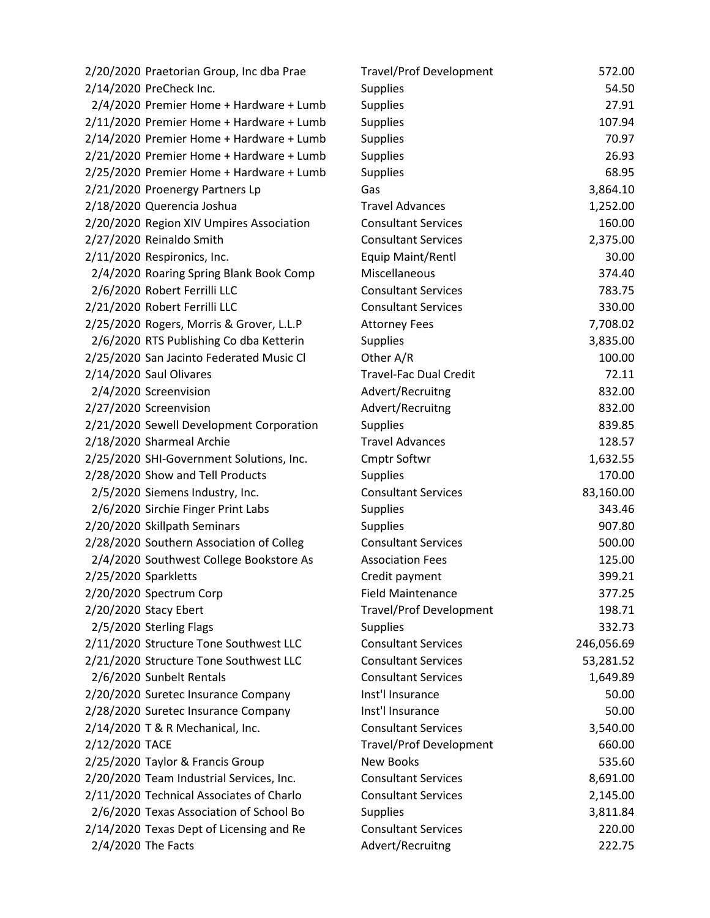| 2/20/2020 Praetorian Group, Inc dba Prae | <b>Travel/Prof Development</b> | 572.00     |
|------------------------------------------|--------------------------------|------------|
| 2/14/2020 PreCheck Inc.                  | <b>Supplies</b>                | 54.50      |
| 2/4/2020 Premier Home + Hardware + Lumb  | Supplies                       | 27.91      |
| 2/11/2020 Premier Home + Hardware + Lumb | Supplies                       | 107.94     |
| 2/14/2020 Premier Home + Hardware + Lumb | Supplies                       | 70.97      |
| 2/21/2020 Premier Home + Hardware + Lumb | <b>Supplies</b>                | 26.93      |
| 2/25/2020 Premier Home + Hardware + Lumb | Supplies                       | 68.95      |
| 2/21/2020 Proenergy Partners Lp          | Gas                            | 3,864.10   |
| 2/18/2020 Querencia Joshua               | <b>Travel Advances</b>         | 1,252.00   |
| 2/20/2020 Region XIV Umpires Association | <b>Consultant Services</b>     | 160.00     |
| 2/27/2020 Reinaldo Smith                 | <b>Consultant Services</b>     | 2,375.00   |
| 2/11/2020 Respironics, Inc.              | Equip Maint/Rentl              | 30.00      |
| 2/4/2020 Roaring Spring Blank Book Comp  | Miscellaneous                  | 374.40     |
| 2/6/2020 Robert Ferrilli LLC             | <b>Consultant Services</b>     | 783.75     |
| 2/21/2020 Robert Ferrilli LLC            | <b>Consultant Services</b>     | 330.00     |
| 2/25/2020 Rogers, Morris & Grover, L.L.P | <b>Attorney Fees</b>           | 7,708.02   |
| 2/6/2020 RTS Publishing Co dba Ketterin  | Supplies                       | 3,835.00   |
| 2/25/2020 San Jacinto Federated Music Cl | Other A/R                      | 100.00     |
| 2/14/2020 Saul Olivares                  | <b>Travel-Fac Dual Credit</b>  | 72.11      |
| 2/4/2020 Screenvision                    | Advert/Recruitng               | 832.00     |
| 2/27/2020 Screenvision                   | Advert/Recruitng               | 832.00     |
| 2/21/2020 Sewell Development Corporation | <b>Supplies</b>                | 839.85     |
| 2/18/2020 Sharmeal Archie                | <b>Travel Advances</b>         | 128.57     |
| 2/25/2020 SHI-Government Solutions, Inc. | <b>Cmptr Softwr</b>            | 1,632.55   |
| 2/28/2020 Show and Tell Products         | <b>Supplies</b>                | 170.00     |
| 2/5/2020 Siemens Industry, Inc.          | <b>Consultant Services</b>     | 83,160.00  |
| 2/6/2020 Sirchie Finger Print Labs       | <b>Supplies</b>                | 343.46     |
| 2/20/2020 Skillpath Seminars             | <b>Supplies</b>                | 907.80     |
| 2/28/2020 Southern Association of Colleg | <b>Consultant Services</b>     | 500.00     |
| 2/4/2020 Southwest College Bookstore As  | <b>Association Fees</b>        | 125.00     |
| 2/25/2020 Sparkletts                     | Credit payment                 | 399.21     |
| 2/20/2020 Spectrum Corp                  | <b>Field Maintenance</b>       | 377.25     |
| 2/20/2020 Stacy Ebert                    | <b>Travel/Prof Development</b> | 198.71     |
| 2/5/2020 Sterling Flags                  | Supplies                       | 332.73     |
| 2/11/2020 Structure Tone Southwest LLC   | <b>Consultant Services</b>     | 246,056.69 |
| 2/21/2020 Structure Tone Southwest LLC   | <b>Consultant Services</b>     | 53,281.52  |
| 2/6/2020 Sunbelt Rentals                 | <b>Consultant Services</b>     | 1,649.89   |
| 2/20/2020 Suretec Insurance Company      | Inst'l Insurance               | 50.00      |
| 2/28/2020 Suretec Insurance Company      | Inst'l Insurance               | 50.00      |
| 2/14/2020 T & R Mechanical, Inc.         | <b>Consultant Services</b>     | 3,540.00   |
| 2/12/2020 TACE                           | <b>Travel/Prof Development</b> | 660.00     |
| 2/25/2020 Taylor & Francis Group         | <b>New Books</b>               | 535.60     |
| 2/20/2020 Team Industrial Services, Inc. | <b>Consultant Services</b>     | 8,691.00   |
| 2/11/2020 Technical Associates of Charlo | <b>Consultant Services</b>     | 2,145.00   |
| 2/6/2020 Texas Association of School Bo  | <b>Supplies</b>                | 3,811.84   |
| 2/14/2020 Texas Dept of Licensing and Re | <b>Consultant Services</b>     | 220.00     |
| 2/4/2020 The Facts                       | Advert/Recruitng               | 222.75     |